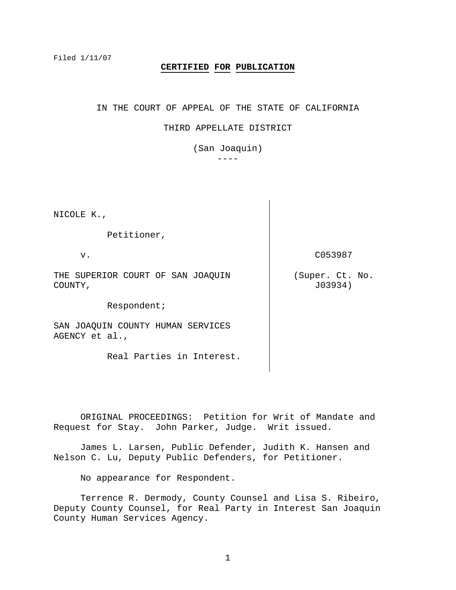Filed 1/11/07

# **CERTIFIED FOR PUBLICATION**

IN THE COURT OF APPEAL OF THE STATE OF CALIFORNIA

### THIRD APPELLATE DISTRICT

(San Joaquin)

 $-$ 

NICOLE K.,

Petitioner,

v.

THE SUPERIOR COURT OF SAN JOAQUIN COUNTY,

Respondent;

SAN JOAQUIN COUNTY HUMAN SERVICES AGENCY et al.,

Real Parties in Interest.

C053987

(Super. Ct. No. J03934)

 ORIGINAL PROCEEDINGS: Petition for Writ of Mandate and Request for Stay. John Parker, Judge. Writ issued.

 James L. Larsen, Public Defender, Judith K. Hansen and Nelson C. Lu, Deputy Public Defenders, for Petitioner.

No appearance for Respondent.

 Terrence R. Dermody, County Counsel and Lisa S. Ribeiro, Deputy County Counsel, for Real Party in Interest San Joaquin County Human Services Agency.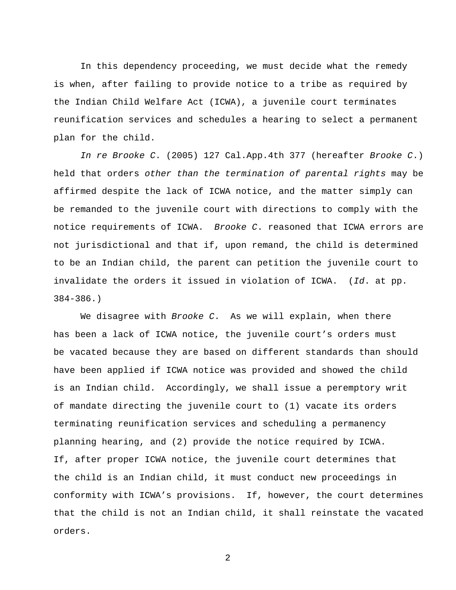In this dependency proceeding, we must decide what the remedy is when, after failing to provide notice to a tribe as required by the Indian Child Welfare Act (ICWA), a juvenile court terminates reunification services and schedules a hearing to select a permanent plan for the child.

*In re Brooke C*. (2005) 127 Cal.App.4th 377 (hereafter *Brooke C*.) held that orders *other than the termination of parental rights* may be affirmed despite the lack of ICWA notice, and the matter simply can be remanded to the juvenile court with directions to comply with the notice requirements of ICWA. *Brooke C*. reasoned that ICWA errors are not jurisdictional and that if, upon remand, the child is determined to be an Indian child, the parent can petition the juvenile court to invalidate the orders it issued in violation of ICWA. (*Id*. at pp. 384-386.)

 We disagree with *Brooke C*. As we will explain, when there has been a lack of ICWA notice, the juvenile court's orders must be vacated because they are based on different standards than should have been applied if ICWA notice was provided and showed the child is an Indian child. Accordingly, we shall issue a peremptory writ of mandate directing the juvenile court to (1) vacate its orders terminating reunification services and scheduling a permanency planning hearing, and (2) provide the notice required by ICWA. If, after proper ICWA notice, the juvenile court determines that the child is an Indian child, it must conduct new proceedings in conformity with ICWA's provisions. If, however, the court determines that the child is not an Indian child, it shall reinstate the vacated orders.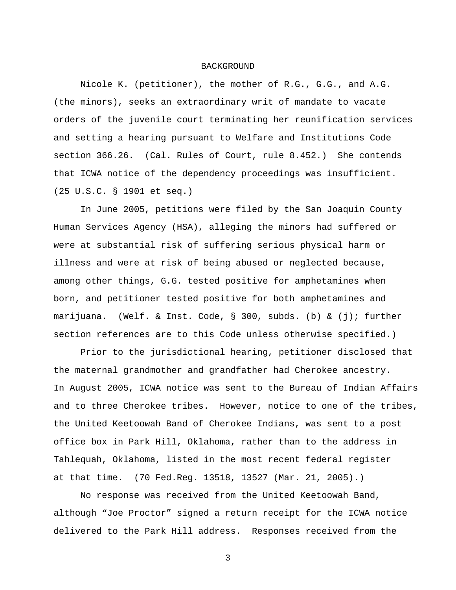## BACKGROUND

 Nicole K. (petitioner), the mother of R.G., G.G., and A.G. (the minors), seeks an extraordinary writ of mandate to vacate orders of the juvenile court terminating her reunification services and setting a hearing pursuant to Welfare and Institutions Code section 366.26. (Cal. Rules of Court, rule 8.452.) She contends that ICWA notice of the dependency proceedings was insufficient. (25 U.S.C. § 1901 et seq.)

 In June 2005, petitions were filed by the San Joaquin County Human Services Agency (HSA), alleging the minors had suffered or were at substantial risk of suffering serious physical harm or illness and were at risk of being abused or neglected because, among other things, G.G. tested positive for amphetamines when born, and petitioner tested positive for both amphetamines and marijuana. (Welf. & Inst. Code, § 300, subds. (b) & (j); further section references are to this Code unless otherwise specified.)

 Prior to the jurisdictional hearing, petitioner disclosed that the maternal grandmother and grandfather had Cherokee ancestry. In August 2005, ICWA notice was sent to the Bureau of Indian Affairs and to three Cherokee tribes. However, notice to one of the tribes, the United Keetoowah Band of Cherokee Indians, was sent to a post office box in Park Hill, Oklahoma, rather than to the address in Tahlequah, Oklahoma, listed in the most recent federal register at that time. (70 Fed.Reg. 13518, 13527 (Mar. 21, 2005).)

 No response was received from the United Keetoowah Band, although "Joe Proctor" signed a return receipt for the ICWA notice delivered to the Park Hill address. Responses received from the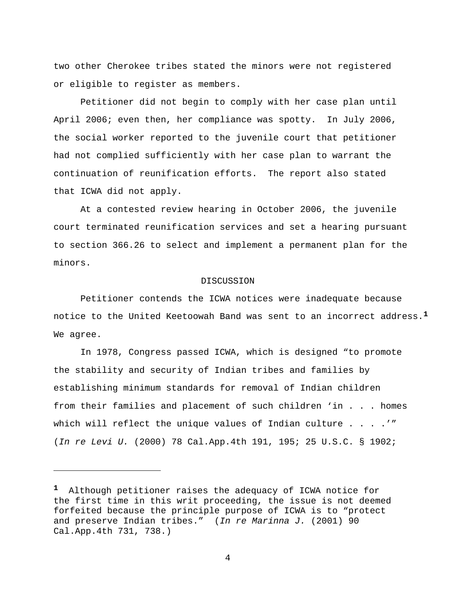two other Cherokee tribes stated the minors were not registered or eligible to register as members.

 Petitioner did not begin to comply with her case plan until April 2006; even then, her compliance was spotty. In July 2006, the social worker reported to the juvenile court that petitioner had not complied sufficiently with her case plan to warrant the continuation of reunification efforts. The report also stated that ICWA did not apply.

 At a contested review hearing in October 2006, the juvenile court terminated reunification services and set a hearing pursuant to section 366.26 to select and implement a permanent plan for the minors.

#### DISCUSSION

 Petitioner contends the ICWA notices were inadequate because notice to the United Keetoowah Band was sent to an incorrect address.**<sup>1</sup>** We agree.

 In 1978, Congress passed ICWA, which is designed "to promote the stability and security of Indian tribes and families by establishing minimum standards for removal of Indian children from their families and placement of such children 'in . . . homes which will reflect the unique values of Indian culture . . . .'" (*In re Levi U.* (2000) 78 Cal.App.4th 191, 195; 25 U.S.C. § 1902;

 $\overline{\phantom{0}}$ 

**<sup>1</sup>** Although petitioner raises the adequacy of ICWA notice for the first time in this writ proceeding, the issue is not deemed forfeited because the principle purpose of ICWA is to "protect and preserve Indian tribes." (*In re Marinna J.* (2001) 90 Cal.App.4th 731, 738.)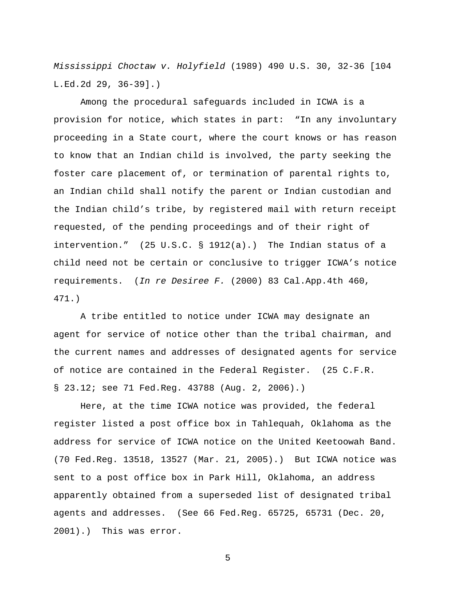*Mississippi Choctaw v. Holyfield* (1989) 490 U.S. 30, 32-36 [104 L.Ed.2d 29, 36-39].)

 Among the procedural safeguards included in ICWA is a provision for notice, which states in part: "In any involuntary proceeding in a State court, where the court knows or has reason to know that an Indian child is involved, the party seeking the foster care placement of, or termination of parental rights to, an Indian child shall notify the parent or Indian custodian and the Indian child's tribe, by registered mail with return receipt requested, of the pending proceedings and of their right of intervention." (25 U.S.C. § 1912(a).) The Indian status of a child need not be certain or conclusive to trigger ICWA's notice requirements. (*In re Desiree F.* (2000) 83 Cal.App.4th 460, 471.)

 A tribe entitled to notice under ICWA may designate an agent for service of notice other than the tribal chairman, and the current names and addresses of designated agents for service of notice are contained in the Federal Register. (25 C.F.R. § 23.12; see 71 Fed.Reg. 43788 (Aug. 2, 2006).)

Here, at the time ICWA notice was provided, the federal register listed a post office box in Tahlequah, Oklahoma as the address for service of ICWA notice on the United Keetoowah Band. (70 Fed.Reg. 13518, 13527 (Mar. 21, 2005).) But ICWA notice was sent to a post office box in Park Hill, Oklahoma, an address apparently obtained from a superseded list of designated tribal agents and addresses. (See 66 Fed.Reg. 65725, 65731 (Dec. 20, 2001).) This was error.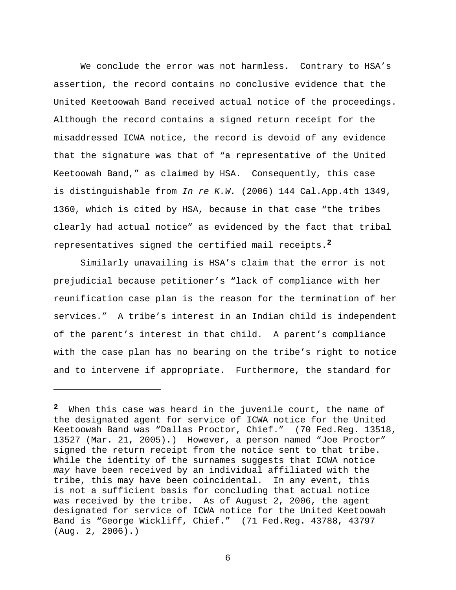We conclude the error was not harmless. Contrary to HSA's assertion, the record contains no conclusive evidence that the United Keetoowah Band received actual notice of the proceedings. Although the record contains a signed return receipt for the misaddressed ICWA notice, the record is devoid of any evidence that the signature was that of "a representative of the United Keetoowah Band," as claimed by HSA. Consequently, this case is distinguishable from *In re K.W.* (2006) 144 Cal.App.4th 1349, 1360, which is cited by HSA, because in that case "the tribes clearly had actual notice" as evidenced by the fact that tribal representatives signed the certified mail receipts.**<sup>2</sup>**

Similarly unavailing is HSA's claim that the error is not prejudicial because petitioner's "lack of compliance with her reunification case plan is the reason for the termination of her services." A tribe's interest in an Indian child is independent of the parent's interest in that child. A parent's compliance with the case plan has no bearing on the tribe's right to notice and to intervene if appropriate. Furthermore, the standard for

i<br>Li

**<sup>2</sup>** When this case was heard in the juvenile court, the name of the designated agent for service of ICWA notice for the United Keetoowah Band was "Dallas Proctor, Chief." (70 Fed.Reg. 13518, 13527 (Mar. 21, 2005).) However, a person named "Joe Proctor" signed the return receipt from the notice sent to that tribe. While the identity of the surnames suggests that ICWA notice *may* have been received by an individual affiliated with the tribe, this may have been coincidental. In any event, this is not a sufficient basis for concluding that actual notice was received by the tribe. As of August 2, 2006, the agent designated for service of ICWA notice for the United Keetoowah Band is "George Wickliff, Chief." (71 Fed.Reg. 43788, 43797 (Aug. 2, 2006).)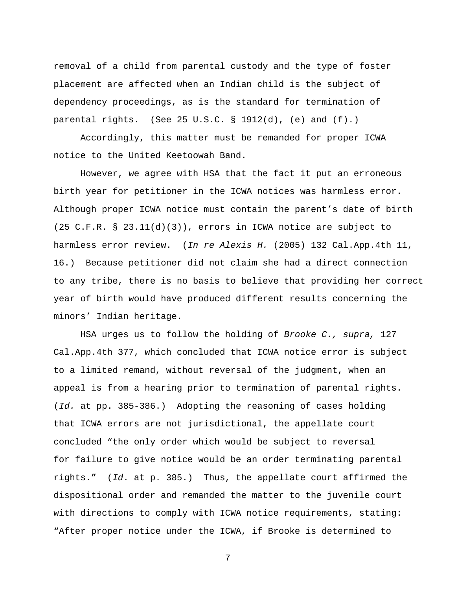removal of a child from parental custody and the type of foster placement are affected when an Indian child is the subject of dependency proceedings, as is the standard for termination of parental rights. (See 25 U.S.C.  $\S$  1912(d), (e) and (f).)

Accordingly, this matter must be remanded for proper ICWA notice to the United Keetoowah Band.

However, we agree with HSA that the fact it put an erroneous birth year for petitioner in the ICWA notices was harmless error. Although proper ICWA notice must contain the parent's date of birth (25 C.F.R. § 23.11(d)(3)), errors in ICWA notice are subject to harmless error review. (*In re Alexis H.* (2005) 132 Cal.App.4th 11, 16.) Because petitioner did not claim she had a direct connection to any tribe, there is no basis to believe that providing her correct year of birth would have produced different results concerning the minors' Indian heritage.

HSA urges us to follow the holding of *Brooke C., supra,* 127 Cal.App.4th 377, which concluded that ICWA notice error is subject to a limited remand, without reversal of the judgment, when an appeal is from a hearing prior to termination of parental rights. (*Id.* at pp. 385-386.) Adopting the reasoning of cases holding that ICWA errors are not jurisdictional, the appellate court concluded "the only order which would be subject to reversal for failure to give notice would be an order terminating parental rights." (*Id*. at p. 385.) Thus, the appellate court affirmed the dispositional order and remanded the matter to the juvenile court with directions to comply with ICWA notice requirements, stating: "After proper notice under the ICWA, if Brooke is determined to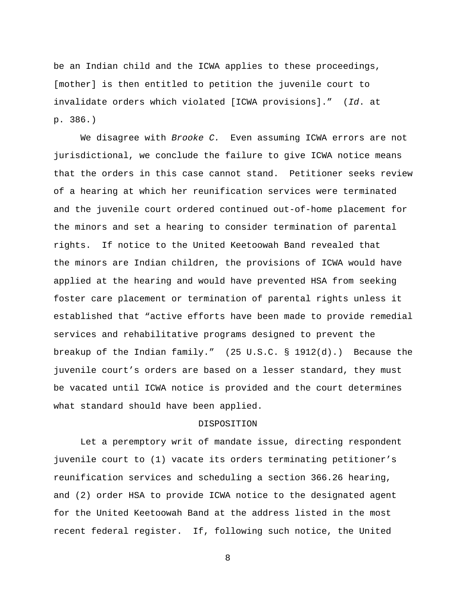be an Indian child and the ICWA applies to these proceedings, [mother] is then entitled to petition the juvenile court to invalidate orders which violated [ICWA provisions]." (*Id*. at p. 386.)

We disagree with *Brooke C.* Even assuming ICWA errors are not jurisdictional, we conclude the failure to give ICWA notice means that the orders in this case cannot stand. Petitioner seeks review of a hearing at which her reunification services were terminated and the juvenile court ordered continued out-of-home placement for the minors and set a hearing to consider termination of parental rights. If notice to the United Keetoowah Band revealed that the minors are Indian children, the provisions of ICWA would have applied at the hearing and would have prevented HSA from seeking foster care placement or termination of parental rights unless it established that "active efforts have been made to provide remedial services and rehabilitative programs designed to prevent the breakup of the Indian family." (25 U.S.C. § 1912(d).) Because the juvenile court's orders are based on a lesser standard, they must be vacated until ICWA notice is provided and the court determines what standard should have been applied.

## DISPOSITION

Let a peremptory writ of mandate issue, directing respondent juvenile court to (1) vacate its orders terminating petitioner's reunification services and scheduling a section 366.26 hearing, and (2) order HSA to provide ICWA notice to the designated agent for the United Keetoowah Band at the address listed in the most recent federal register. If, following such notice, the United